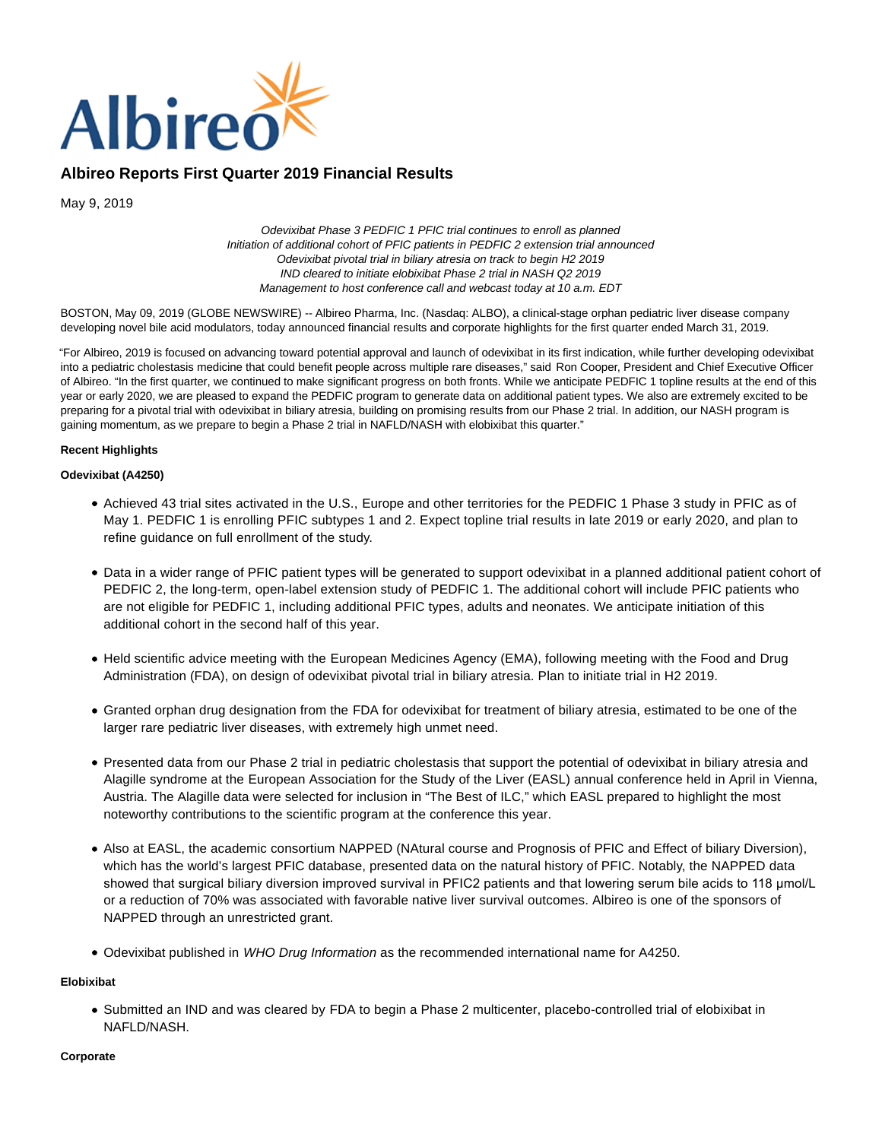

# **Albireo Reports First Quarter 2019 Financial Results**

May 9, 2019

Odevixibat Phase 3 PEDFIC 1 PFIC trial continues to enroll as planned Initiation of additional cohort of PFIC patients in PEDFIC 2 extension trial announced Odevixibat pivotal trial in biliary atresia on track to begin H2 2019 IND cleared to initiate elobixibat Phase 2 trial in NASH Q2 2019 Management to host conference call and webcast today at 10 a.m. EDT

BOSTON, May 09, 2019 (GLOBE NEWSWIRE) -- Albireo Pharma, Inc. (Nasdaq: ALBO), a clinical-stage orphan pediatric liver disease company developing novel bile acid modulators, today announced financial results and corporate highlights for the first quarter ended March 31, 2019.

"For Albireo, 2019 is focused on advancing toward potential approval and launch of odevixibat in its first indication, while further developing odevixibat into a pediatric cholestasis medicine that could benefit people across multiple rare diseases," said Ron Cooper, President and Chief Executive Officer of Albireo. "In the first quarter, we continued to make significant progress on both fronts. While we anticipate PEDFIC 1 topline results at the end of this year or early 2020, we are pleased to expand the PEDFIC program to generate data on additional patient types. We also are extremely excited to be preparing for a pivotal trial with odevixibat in biliary atresia, building on promising results from our Phase 2 trial. In addition, our NASH program is gaining momentum, as we prepare to begin a Phase 2 trial in NAFLD/NASH with elobixibat this quarter."

#### **Recent Highlights**

#### **Odevixibat (A4250)**

- Achieved 43 trial sites activated in the U.S., Europe and other territories for the PEDFIC 1 Phase 3 study in PFIC as of May 1. PEDFIC 1 is enrolling PFIC subtypes 1 and 2. Expect topline trial results in late 2019 or early 2020, and plan to refine guidance on full enrollment of the study.
- Data in a wider range of PFIC patient types will be generated to support odevixibat in a planned additional patient cohort of PEDFIC 2, the long-term, open-label extension study of PEDFIC 1. The additional cohort will include PFIC patients who are not eligible for PEDFIC 1, including additional PFIC types, adults and neonates. We anticipate initiation of this additional cohort in the second half of this year.
- Held scientific advice meeting with the European Medicines Agency (EMA), following meeting with the Food and Drug Administration (FDA), on design of odevixibat pivotal trial in biliary atresia. Plan to initiate trial in H2 2019.
- Granted orphan drug designation from the FDA for odevixibat for treatment of biliary atresia, estimated to be one of the larger rare pediatric liver diseases, with extremely high unmet need.
- Presented data from our Phase 2 trial in pediatric cholestasis that support the potential of odevixibat in biliary atresia and Alagille syndrome at the European Association for the Study of the Liver (EASL) annual conference held in April in Vienna, Austria. The Alagille data were selected for inclusion in "The Best of ILC," which EASL prepared to highlight the most noteworthy contributions to the scientific program at the conference this year.
- Also at EASL, the academic consortium NAPPED (NAtural course and Prognosis of PFIC and Effect of biliary Diversion), which has the world's largest PFIC database, presented data on the natural history of PFIC. Notably, the NAPPED data showed that surgical biliary diversion improved survival in PFIC2 patients and that lowering serum bile acids to 118 μmol/L or a reduction of 70% was associated with favorable native liver survival outcomes. Albireo is one of the sponsors of NAPPED through an unrestricted grant.
- Odevixibat published in WHO Drug Information as the recommended international name for A4250.

### **Elobixibat**

Submitted an IND and was cleared by FDA to begin a Phase 2 multicenter, placebo-controlled trial of elobixibat in NAFLD/NASH.

#### **Corporate**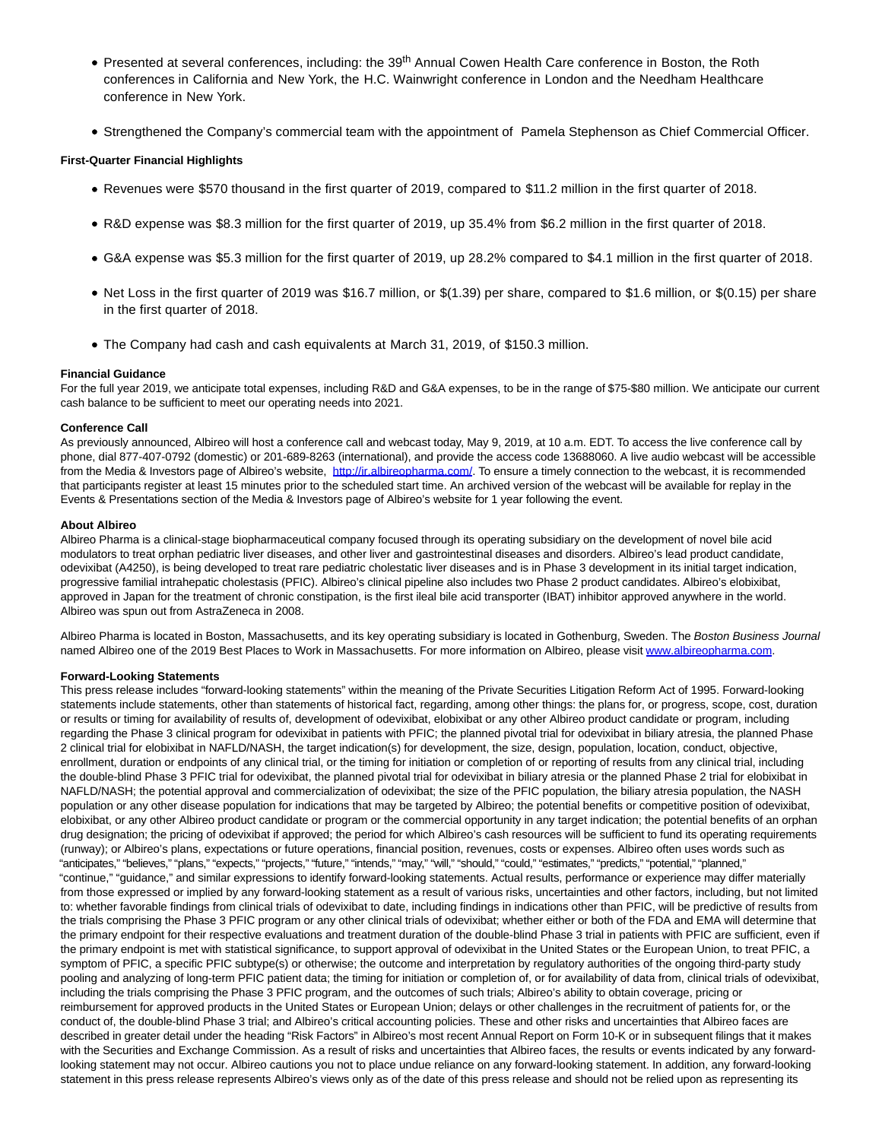- Presented at several conferences, including: the 39<sup>th</sup> Annual Cowen Health Care conference in Boston, the Roth conferences in California and New York, the H.C. Wainwright conference in London and the Needham Healthcare conference in New York.
- Strengthened the Company's commercial team with the appointment of Pamela Stephenson as Chief Commercial Officer.

## **First-Quarter Financial Highlights**

- Revenues were \$570 thousand in the first quarter of 2019, compared to \$11.2 million in the first quarter of 2018.
- R&D expense was \$8.3 million for the first quarter of 2019, up 35.4% from \$6.2 million in the first quarter of 2018.
- G&A expense was \$5.3 million for the first quarter of 2019, up 28.2% compared to \$4.1 million in the first quarter of 2018.
- Net Loss in the first quarter of 2019 was \$16.7 million, or \$(1.39) per share, compared to \$1.6 million, or \$(0.15) per share in the first quarter of 2018.
- The Company had cash and cash equivalents at March 31, 2019, of \$150.3 million.

#### **Financial Guidance**

For the full year 2019, we anticipate total expenses, including R&D and G&A expenses, to be in the range of \$75-\$80 million. We anticipate our current cash balance to be sufficient to meet our operating needs into 2021.

#### **Conference Call**

As previously announced, Albireo will host a conference call and webcast today, May 9, 2019, at 10 a.m. EDT. To access the live conference call by phone, dial 877-407-0792 (domestic) or 201-689-8263 (international), and provide the access code 13688060. A live audio webcast will be accessible from the Media & Investors page of Albireo's website, [http://ir.albireopharma.com/.](https://www.globenewswire.com/Tracker?data=RaROxROZCkYkhEZQBnHkqu1XpWRLLblPTV60eugNg6dApH_PjcsYOERz4_Tnwl0rHdOWvf8NVM7egRL61gcHYLOtzxdblOP2idzR_Tv4S7c=) To ensure a timely connection to the webcast, it is recommended that participants register at least 15 minutes prior to the scheduled start time. An archived version of the webcast will be available for replay in the Events & Presentations section of the Media & Investors page of Albireo's website for 1 year following the event.

#### **About Albireo**

Albireo Pharma is a clinical-stage biopharmaceutical company focused through its operating subsidiary on the development of novel bile acid modulators to treat orphan pediatric liver diseases, and other liver and gastrointestinal diseases and disorders. Albireo's lead product candidate, odevixibat (A4250), is being developed to treat rare pediatric cholestatic liver diseases and is in Phase 3 development in its initial target indication, progressive familial intrahepatic cholestasis (PFIC). Albireo's clinical pipeline also includes two Phase 2 product candidates. Albireo's elobixibat, approved in Japan for the treatment of chronic constipation, is the first ileal bile acid transporter (IBAT) inhibitor approved anywhere in the world. Albireo was spun out from AstraZeneca in 2008.

Albireo Pharma is located in Boston, Massachusetts, and its key operating subsidiary is located in Gothenburg, Sweden. The Boston Business Journal named Albireo one of the 2019 Best Places to Work in Massachusetts. For more information on Albireo, please visit [www.albireopharma.com.](https://www.globenewswire.com/Tracker?data=CdlMytItQOR-2JOQRISr9VsifxIQ7NY-2q9t-Ma0n9ODAqtMTVAhadC1zXgypMqtMgQSdNHCXV5vel63LsCnemTlmaS4Lv5NrGq5RXwOT84=)

#### **Forward-Looking Statements**

This press release includes "forward-looking statements" within the meaning of the Private Securities Litigation Reform Act of 1995. Forward-looking statements include statements, other than statements of historical fact, regarding, among other things: the plans for, or progress, scope, cost, duration or results or timing for availability of results of, development of odevixibat, elobixibat or any other Albireo product candidate or program, including regarding the Phase 3 clinical program for odevixibat in patients with PFIC; the planned pivotal trial for odevixibat in biliary atresia, the planned Phase 2 clinical trial for elobixibat in NAFLD/NASH, the target indication(s) for development, the size, design, population, location, conduct, objective, enrollment, duration or endpoints of any clinical trial, or the timing for initiation or completion of or reporting of results from any clinical trial, including the double-blind Phase 3 PFIC trial for odevixibat, the planned pivotal trial for odevixibat in biliary atresia or the planned Phase 2 trial for elobixibat in NAFLD/NASH; the potential approval and commercialization of odevixibat; the size of the PFIC population, the biliary atresia population, the NASH population or any other disease population for indications that may be targeted by Albireo; the potential benefits or competitive position of odevixibat, elobixibat, or any other Albireo product candidate or program or the commercial opportunity in any target indication; the potential benefits of an orphan drug designation; the pricing of odevixibat if approved; the period for which Albireo's cash resources will be sufficient to fund its operating requirements (runway); or Albireo's plans, expectations or future operations, financial position, revenues, costs or expenses. Albireo often uses words such as "anticipates," "believes," "plans," "expects," "projects," "future," "intends," "may," "will," "should," "could," "estimates," "predicts," "potential," "planned," "continue," "guidance," and similar expressions to identify forward-looking statements. Actual results, performance or experience may differ materially from those expressed or implied by any forward-looking statement as a result of various risks, uncertainties and other factors, including, but not limited to: whether favorable findings from clinical trials of odevixibat to date, including findings in indications other than PFIC, will be predictive of results from the trials comprising the Phase 3 PFIC program or any other clinical trials of odevixibat; whether either or both of the FDA and EMA will determine that the primary endpoint for their respective evaluations and treatment duration of the double-blind Phase 3 trial in patients with PFIC are sufficient, even if the primary endpoint is met with statistical significance, to support approval of odevixibat in the United States or the European Union, to treat PFIC, a symptom of PFIC, a specific PFIC subtype(s) or otherwise; the outcome and interpretation by regulatory authorities of the ongoing third-party study pooling and analyzing of long-term PFIC patient data; the timing for initiation or completion of, or for availability of data from, clinical trials of odevixibat, including the trials comprising the Phase 3 PFIC program, and the outcomes of such trials; Albireo's ability to obtain coverage, pricing or reimbursement for approved products in the United States or European Union; delays or other challenges in the recruitment of patients for, or the conduct of, the double-blind Phase 3 trial; and Albireo's critical accounting policies. These and other risks and uncertainties that Albireo faces are described in greater detail under the heading "Risk Factors" in Albireo's most recent Annual Report on Form 10-K or in subsequent filings that it makes with the Securities and Exchange Commission. As a result of risks and uncertainties that Albireo faces, the results or events indicated by any forwardlooking statement may not occur. Albireo cautions you not to place undue reliance on any forward-looking statement. In addition, any forward-looking statement in this press release represents Albireo's views only as of the date of this press release and should not be relied upon as representing its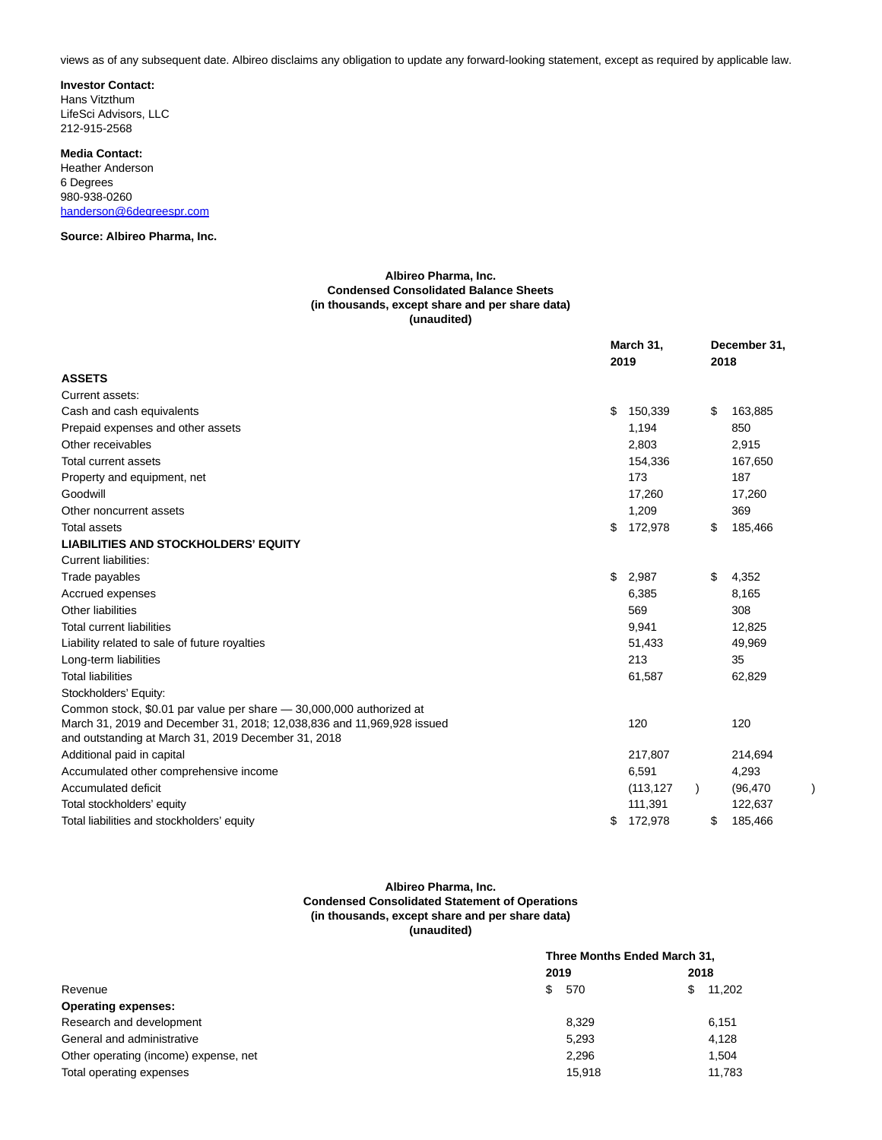views as of any subsequent date. Albireo disclaims any obligation to update any forward-looking statement, except as required by applicable law.

#### **Investor Contact:**

Hans Vitzthum LifeSci Advisors, LLC 212-915-2568

### **Media Contact:**

Heather Anderson 6 Degrees 980-938-0260 [handerson@6degreespr.com](https://www.globenewswire.com/Tracker?data=OJCwElhKd87mIiiUhMESVkHIMoHMRPJ4z2dJCyLqYfNVrQH__iaslmPCNA7sGILK3CEQTmrfYZU1aJwFQ9nWB8j4wjbLtHDPTwxEQcoJXZU=)

## **Source: Albireo Pharma, Inc.**

### **Albireo Pharma, Inc. Condensed Consolidated Balance Sheets (in thousands, except share and per share data) (unaudited)**

|                                                                                                                                                                                                      |    | March 31,  |  |      | December 31, |  |  |
|------------------------------------------------------------------------------------------------------------------------------------------------------------------------------------------------------|----|------------|--|------|--------------|--|--|
|                                                                                                                                                                                                      |    | 2019       |  | 2018 |              |  |  |
| <b>ASSETS</b>                                                                                                                                                                                        |    |            |  |      |              |  |  |
| Current assets:                                                                                                                                                                                      |    |            |  |      |              |  |  |
| Cash and cash equivalents                                                                                                                                                                            | S  | 150,339    |  | \$   | 163,885      |  |  |
| Prepaid expenses and other assets                                                                                                                                                                    |    | 1,194      |  |      | 850          |  |  |
| Other receivables                                                                                                                                                                                    |    | 2,803      |  |      | 2,915        |  |  |
| Total current assets                                                                                                                                                                                 |    | 154,336    |  |      | 167,650      |  |  |
| Property and equipment, net                                                                                                                                                                          |    | 173        |  |      | 187          |  |  |
| Goodwill                                                                                                                                                                                             |    | 17,260     |  |      | 17,260       |  |  |
| Other noncurrent assets                                                                                                                                                                              |    | 1,209      |  |      | 369          |  |  |
| <b>Total assets</b>                                                                                                                                                                                  | \$ | 172,978    |  | \$   | 185,466      |  |  |
| <b>LIABILITIES AND STOCKHOLDERS' EQUITY</b>                                                                                                                                                          |    |            |  |      |              |  |  |
| <b>Current liabilities:</b>                                                                                                                                                                          |    |            |  |      |              |  |  |
| Trade payables                                                                                                                                                                                       | \$ | 2,987      |  | \$   | 4,352        |  |  |
| Accrued expenses                                                                                                                                                                                     |    | 6,385      |  |      | 8,165        |  |  |
| <b>Other liabilities</b>                                                                                                                                                                             |    | 569        |  |      | 308          |  |  |
| <b>Total current liabilities</b>                                                                                                                                                                     |    | 9,941      |  |      | 12,825       |  |  |
| Liability related to sale of future royalties                                                                                                                                                        |    | 51,433     |  |      | 49,969       |  |  |
| Long-term liabilities                                                                                                                                                                                |    | 213        |  |      | 35           |  |  |
| <b>Total liabilities</b>                                                                                                                                                                             |    | 61,587     |  |      | 62,829       |  |  |
| Stockholders' Equity:                                                                                                                                                                                |    |            |  |      |              |  |  |
| Common stock, \$0.01 par value per share - 30,000,000 authorized at<br>March 31, 2019 and December 31, 2018; 12,038,836 and 11,969,928 issued<br>and outstanding at March 31, 2019 December 31, 2018 |    | 120        |  |      | 120          |  |  |
| Additional paid in capital                                                                                                                                                                           |    | 217,807    |  |      | 214,694      |  |  |
| Accumulated other comprehensive income                                                                                                                                                               |    | 6,591      |  |      | 4,293        |  |  |
| Accumulated deficit                                                                                                                                                                                  |    | (113, 127) |  |      | (96, 470)    |  |  |
| Total stockholders' equity                                                                                                                                                                           |    | 111,391    |  |      | 122,637      |  |  |
| Total liabilities and stockholders' equity                                                                                                                                                           | \$ | 172,978    |  | \$   | 185,466      |  |  |

#### **Albireo Pharma, Inc. Condensed Consolidated Statement of Operations (in thousands, except share and per share data) (unaudited)**

|                                       | Three Months Ended March 31, |        |      |        |  |  |  |
|---------------------------------------|------------------------------|--------|------|--------|--|--|--|
| Revenue                               | 2019                         |        | 2018 |        |  |  |  |
|                                       | S.                           | 570    | \$.  | 11.202 |  |  |  |
| <b>Operating expenses:</b>            |                              |        |      |        |  |  |  |
| Research and development              |                              | 8.329  |      | 6.151  |  |  |  |
| General and administrative            |                              | 5.293  |      | 4.128  |  |  |  |
| Other operating (income) expense, net |                              | 2.296  |      | 1.504  |  |  |  |
| Total operating expenses              |                              | 15.918 |      | 11.783 |  |  |  |